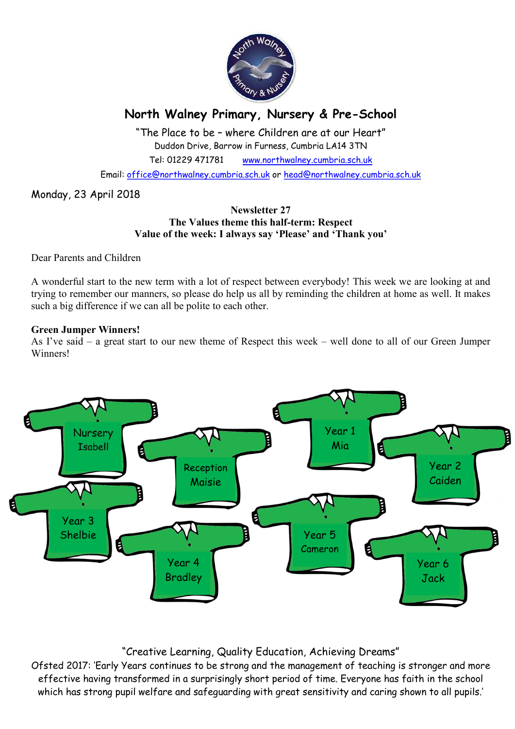

# North Walney Primary, Nursery & Pre-School

"The Place to be – where Children are at our Heart" Duddon Drive, Barrow in Furness, Cumbria LA14 3TN Tel: 01229 471781 www.northwalney.cumbria.sch.uk

Email: office@northwalney.cumbria.sch.uk or head@northwalney.cumbria.sch.uk

Monday, 23 April 2018

### Newsletter 27 The Values theme this half-term: Respect Value of the week: I always say 'Please' and 'Thank you'

Dear Parents and Children

A wonderful start to the new term with a lot of respect between everybody! This week we are looking at and trying to remember our manners, so please do help us all by reminding the children at home as well. It makes such a big difference if we can all be polite to each other.

### Green Jumper Winners!

As I've said – a great start to our new theme of Respect this week – well done to all of our Green Jumper Winners!



# "Creative Learning, Quality Education, Achieving Dreams"

Ofsted 2017: 'Early Years continues to be strong and the management of teaching is stronger and more effective having transformed in a surprisingly short period of time. Everyone has faith in the school which has strong pupil welfare and safeguarding with great sensitivity and caring shown to all pupils.'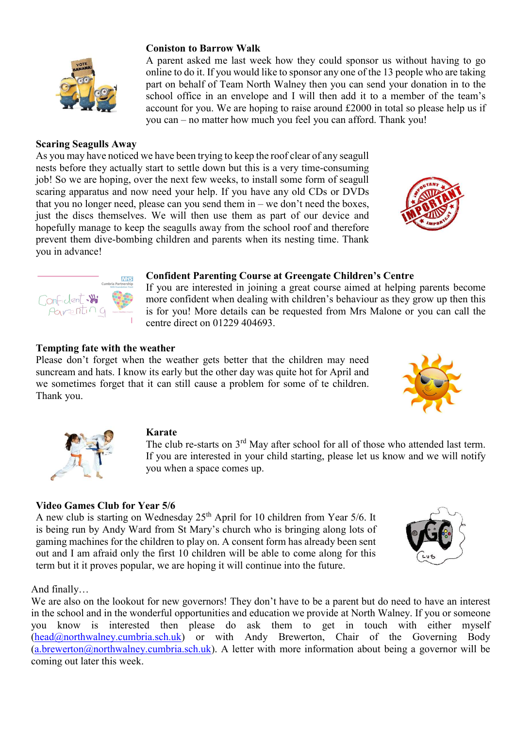

A parent asked me last week how they could sponsor us without having to go online to do it. If you would like to sponsor any one of the 13 people who are taking part on behalf of Team North Walney then you can send your donation in to the school office in an envelope and I will then add it to a member of the team's account for you. We are hoping to raise around £2000 in total so please help us if you can – no matter how much you feel you can afford. Thank you!

Scaring Seagulls Away

As you may have noticed we have been trying to keep the roof clear of any seagull nests before they actually start to settle down but this is a very time-consuming job! So we are hoping, over the next few weeks, to install some form of seagull scaring apparatus and now need your help. If you have any old CDs or DVDs that you no longer need, please can you send them  $in - we$  don't need the boxes, just the discs themselves. We will then use them as part of our device and hopefully manage to keep the seagulls away from the school roof and therefore prevent them dive-bombing children and parents when its nesting time. Thank you in advance!

#### Confident Parenting Course at Greengate Children's Centre

If you are interested in joining a great course aimed at helping parents become more confident when dealing with children's behaviour as they grow up then this is for you! More details can be requested from Mrs Malone or you can call the centre direct on 01229 404693.

# Tempting fate with the weather

Confident.

Please don't forget when the weather gets better that the children may need suncream and hats. I know its early but the other day was quite hot for April and we sometimes forget that it can still cause a problem for some of te children. Thank you.

# Karate

The club re-starts on 3<sup>rd</sup> May after school for all of those who attended last term. If you are interested in your child starting, please let us know and we will notify you when a space comes up.

# Video Games Club for Year 5/6

A new club is starting on Wednesday 25<sup>th</sup> April for 10 children from Year 5/6. It is being run by Andy Ward from St Mary's church who is bringing along lots of gaming machines for the children to play on. A consent form has already been sent out and I am afraid only the first 10 children will be able to come along for this term but it it proves popular, we are hoping it will continue into the future.

And finally…

We are also on the lookout for new governors! They don't have to be a parent but do need to have an interest in the school and in the wonderful opportunities and education we provide at North Walney. If you or someone you know is interested then please do ask them to get in touch with either myself (head@northwalney.cumbria.sch.uk) or with Andy Brewerton, Chair of the Governing Body  $(a.brewerton@northwalneycumbra.sch.uk)$ . A letter with more information about being a governor will be coming out later this week.